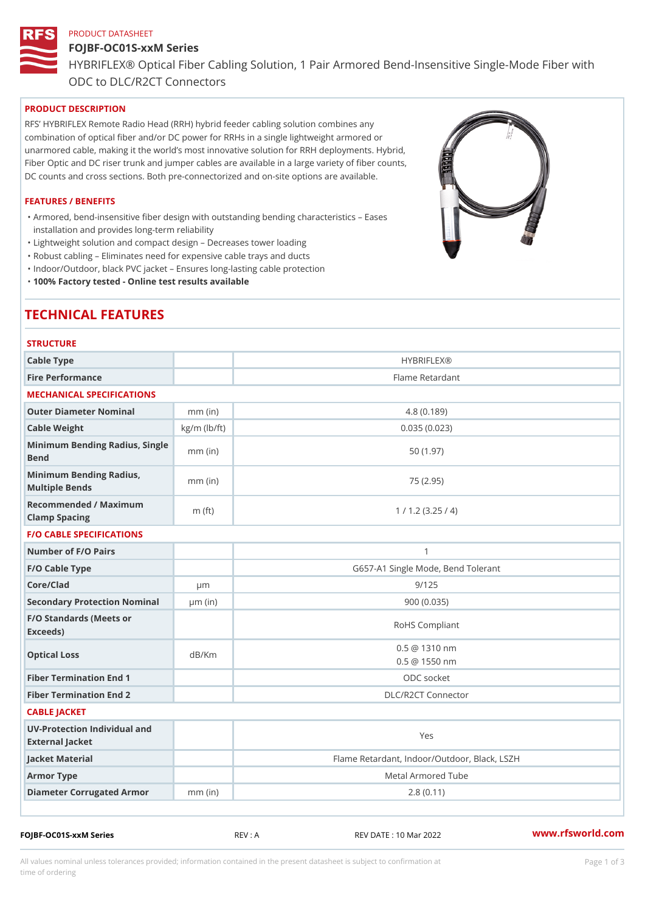# PRODUCT DATASHEET

# FOJBF-OC01S-xxM Series HYBRIFLEX® Optical Fiber Cabling Solution, 1 Pair Armored Bend-Inse ODC to DLC/R2CT Connectors

# PRODUCT DESCRIPTION

RFS HYBRIFLEX Remote Radio Head (RRH) hybrid feeder cabling solution combines any combination of optical fiber and/or DC power for RRHs in a single lightweight armored or unarmored cable, making it the world s most innovative solution for RRH deployments. Hybrid, Fiber Optic and DC riser trunk and jumper cables are available in a large variety of fiber counts, DC counts and cross sections. Both pre-connectorized and on-site options are available.

#### FEATURES / BENEFITS

Armored, bend-insensitive fiber design with outstanding bending characteristics Eases " installation and provides long-term reliability

"Lightweight solution and compact design Decreases tower loading

"Robust cabling Eliminates need for expensive cable trays and ducts

"Indoor/Outdoor, black PVC jacket Ensures long-lasting cable protection

"100% Factory tested - Online test results available

# TECHNICAL FEATURES

| <b>STRUCTURE</b>                                     |                    |                                                |  |  |  |
|------------------------------------------------------|--------------------|------------------------------------------------|--|--|--|
| Cable Type                                           |                    | <b>HYBRIFLEX®</b>                              |  |  |  |
| Fire Performance                                     |                    | Flame Retardant                                |  |  |  |
| MECHANICAL SPECIFICATIONS                            |                    |                                                |  |  |  |
| Outer Diameter Nominal                               | $mm$ (in)          | 4.8(0.189)                                     |  |  |  |
| Cable Weight                                         | $kg/m$ ( $lb/ft$ ) | 0.035(0.023)                                   |  |  |  |
| Minimum Bending Radius, Single<br>The mm (in<br>Bend |                    | 50 (1.97)                                      |  |  |  |
| Minimum Bending Radius, mm (in)<br>Multiple Bends    |                    | 75 (2.95)                                      |  |  |  |
| Recommended / Maximum<br>Clamp Spacing               | m $(ft)$           | 1 / 1.2 (3.25 / 4)                             |  |  |  |
| <b>F/O CABLE SPECIFICATIONS</b>                      |                    |                                                |  |  |  |
| Number of F/O Pairs                                  |                    | $\mathbf{1}$                                   |  |  |  |
| F/O Cable Type                                       |                    | G657-A1 Single Mode, Bend Tolerant             |  |  |  |
| Core/Clad                                            | $\mu$ m            | 9/125                                          |  |  |  |
| Secondary Protection Nomimal(in)                     |                    | 900 (0.035)                                    |  |  |  |
| F/O Standards (Meets or<br>Exceeds)                  |                    | RoHS Compliant                                 |  |  |  |
| Optical Loss                                         | dB/Km              | $0.5 \ @ \ 1310 \ nm$<br>$0.5 \ @ \ 1550 \ nm$ |  |  |  |
| Fiber Termination End                                |                    | ODC socket                                     |  |  |  |
| Fiber Termination End 2                              |                    | DLC/R2CT Connector                             |  |  |  |
| CABLE JACKET                                         |                    |                                                |  |  |  |
| UV-Protection Individual and<br>External Jacket      |                    | Yes                                            |  |  |  |
| Jacket Material                                      |                    | Flame Retardant, Indoor/Outdoor, Black, LSZH   |  |  |  |
| Armor Type                                           |                    | Metal Armored Tube                             |  |  |  |
| Diameter Corrugated Armomm (in)                      |                    | 2.8(0.11)                                      |  |  |  |
|                                                      |                    |                                                |  |  |  |

FOJBF-OC01S-xxM Series REV : A REV DATE : 10 Mar 2022 [www.](https://www.rfsworld.com)rfsworld.com

All values nominal unless tolerances provided; information contained in the present datasheet is subject to Pcapgeign mation time of ordering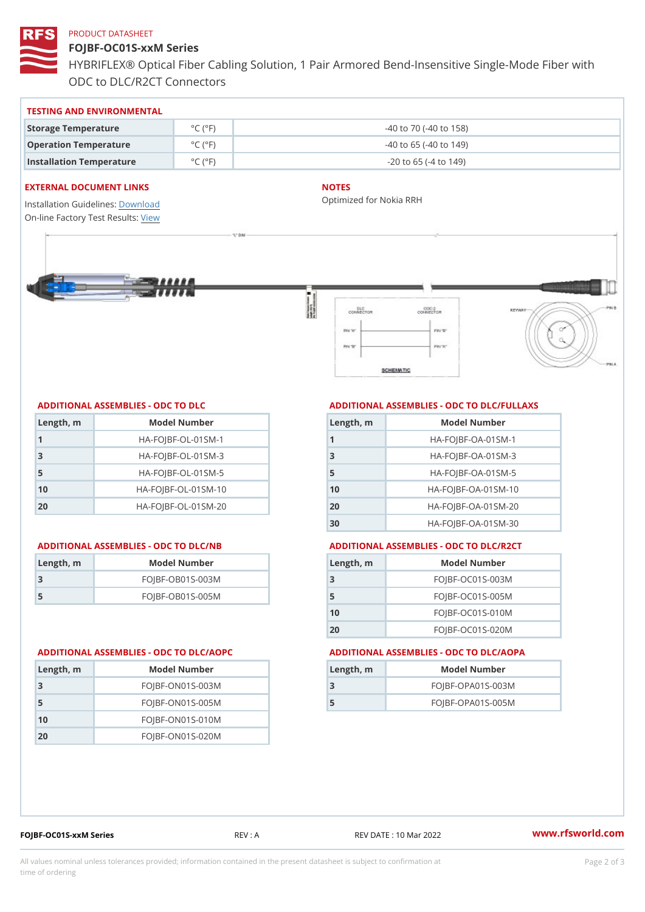#### PRODUCT DATASHEET

FOJBF-OC01S-xxM Series HYBRIFLEX® Optical Fiber Cabling Solution, 1 Pair Armored Bend-Inse ODC to DLC/R2CT Connectors

| TESTING AND ENVIRONMENTAL |  |
|---------------------------|--|
|---------------------------|--|

| Storage Temperature              | $^{\circ}$ C ( $^{\circ}$ F $\vert$ | $-40$ to $70$ ( $-40$ to $158$ ) |
|----------------------------------|-------------------------------------|----------------------------------|
| Operation Temperature            | $^{\circ}$ C ( $^{\circ}$ F $\vert$ | $-40$ to 65 ( $-40$ to 149)      |
| Installation Temperature °C (°F) |                                     | $-20$ to 65 ( $-4$ to 149)       |

#### EXTERNAL DOCUMENT LINKS

Installation Guidelwinessad On-line Factory Te[s](https://www.rfsworld.com/pictures/userfiles/programs/AAST Latest Version.zip)teResults:

#### NOTES

Optimized for Nokia RRH

#### ADDITIONAL ASSEMBLIES - ODC TO DLC

| Length, m | Model Number                   |
|-----------|--------------------------------|
| 1         | $HA - FOJBF - OL - 01SM - 1$   |
| -3        | $HA-FOJBF-OL-01SM-3$           |
| -5        | $HA - FOJBF - OL - 01SM - 5$   |
| 10        | $HA - FOJBF - O L - 01SM - 10$ |
| 20        | $HA - FOJBF - O L - 01SM - 20$ |

#### ADDITIONAL ASSEMBLIES - ODC TO DLC/NB ADDITIONAL ASSEMBLIES - ODC TO DLC/R2CT

| Length, m | Model Number       |
|-----------|--------------------|
| -3        | $FOJBF-OBO1S-OO3M$ |
| .5        | $FOJBF-OBO1S-OO5M$ |

Length, m Model Number FOJBF-ON01S-003M FOJBF-ON01S-005M FOJBF-ON01S-010M FOJBF-ON01S-020M

### ADDITIONAL ASSEMBLIES - ODC TO DLC/FULLAXS

| Length, m | Model Number                  |
|-----------|-------------------------------|
|           | $HA - FOJBF - OA - 01SM - 1$  |
| 3         | $HA - FOJBF - OA - 01SM - B$  |
| 5         | $HA - FOJBF - OA - 01SM - 5$  |
| 10        | $HA - FOJBF - OA - 01SM - 10$ |
| 20        | $HA - FOJBF - OA - 01SM - 20$ |
| 30        | HA-FOJBF-OA-01SM-30           |

| Length, m | Model Number       |
|-----------|--------------------|
| 3         | $FOJBF-OCO1S-OO3M$ |
| 5         | $FOJBF-OCO1S-OO5M$ |
| 10        | $FOJBF-OCO1S-010M$ |
| 20        | $FOJBF-OCO1S-020M$ |

#### ADDITIONAL ASSEMBLIES - ODC TO DLC/AOPC ADDITIONAL ASSEMBLIES - ODC TO DLC/AOPA

| Length, m | Model Number        |
|-----------|---------------------|
|           | $FOJBF-OPAO1S-003M$ |
|           | $FOJBF-OPAO1S-005M$ |

|  |  |  |  | FOJBF-OC01S-xxM Series |  |  |  |
|--|--|--|--|------------------------|--|--|--|
|  |  |  |  |                        |  |  |  |

REV : A REV DATE : 10 Mar 2022 [www.](https://www.rfsworld.com)rfsworld.com

All values nominal unless tolerances provided; information contained in the present datasheet is subject to Pcapgelio an atio time of ordering